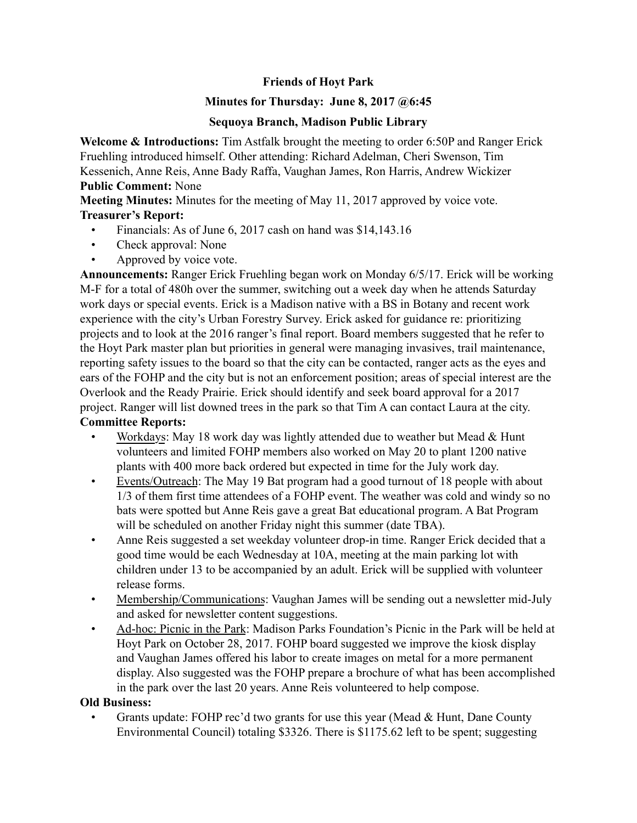# **Friends of Hoyt Park**

## **Minutes for Thursday: June 8, 2017 @6:45**

## **Sequoya Branch, Madison Public Library**

**Welcome & Introductions:** Tim Astfalk brought the meeting to order 6:50P and Ranger Erick Fruehling introduced himself. Other attending: Richard Adelman, Cheri Swenson, Tim Kessenich, Anne Reis, Anne Bady Raffa, Vaughan James, Ron Harris, Andrew Wickizer **Public Comment:** None

**Meeting Minutes:** Minutes for the meeting of May 11, 2017 approved by voice vote. **Treasurer's Report:**

- Financials: As of June 6, 2017 cash on hand was \$14,143.16
- Check approval: None
- Approved by voice vote.

**Announcements:** Ranger Erick Fruehling began work on Monday 6/5/17. Erick will be working M-F for a total of 480h over the summer, switching out a week day when he attends Saturday work days or special events. Erick is a Madison native with a BS in Botany and recent work experience with the city's Urban Forestry Survey. Erick asked for guidance re: prioritizing projects and to look at the 2016 ranger's final report. Board members suggested that he refer to the Hoyt Park master plan but priorities in general were managing invasives, trail maintenance, reporting safety issues to the board so that the city can be contacted, ranger acts as the eyes and ears of the FOHP and the city but is not an enforcement position; areas of special interest are the Overlook and the Ready Prairie. Erick should identify and seek board approval for a 2017 project. Ranger will list downed trees in the park so that Tim A can contact Laura at the city.

# **Committee Reports:**

- Workdays: May 18 work day was lightly attended due to weather but Mead  $&$  Hunt volunteers and limited FOHP members also worked on May 20 to plant 1200 native plants with 400 more back ordered but expected in time for the July work day.
- Events/Outreach: The May 19 Bat program had a good turnout of 18 people with about 1/3 of them first time attendees of a FOHP event. The weather was cold and windy so no bats were spotted but Anne Reis gave a great Bat educational program. A Bat Program will be scheduled on another Friday night this summer (date TBA).
- Anne Reis suggested a set weekday volunteer drop-in time. Ranger Erick decided that a good time would be each Wednesday at 10A, meeting at the main parking lot with children under 13 to be accompanied by an adult. Erick will be supplied with volunteer release forms.
- Membership/Communications: Vaughan James will be sending out a newsletter mid-July and asked for newsletter content suggestions.
- Ad-hoc: Picnic in the Park: Madison Parks Foundation's Picnic in the Park will be held at Hoyt Park on October 28, 2017. FOHP board suggested we improve the kiosk display and Vaughan James offered his labor to create images on metal for a more permanent display. Also suggested was the FOHP prepare a brochure of what has been accomplished in the park over the last 20 years. Anne Reis volunteered to help compose.

#### **Old Business:**

Grants update: FOHP rec'd two grants for use this year (Mead & Hunt, Dane County Environmental Council) totaling \$3326. There is \$1175.62 left to be spent; suggesting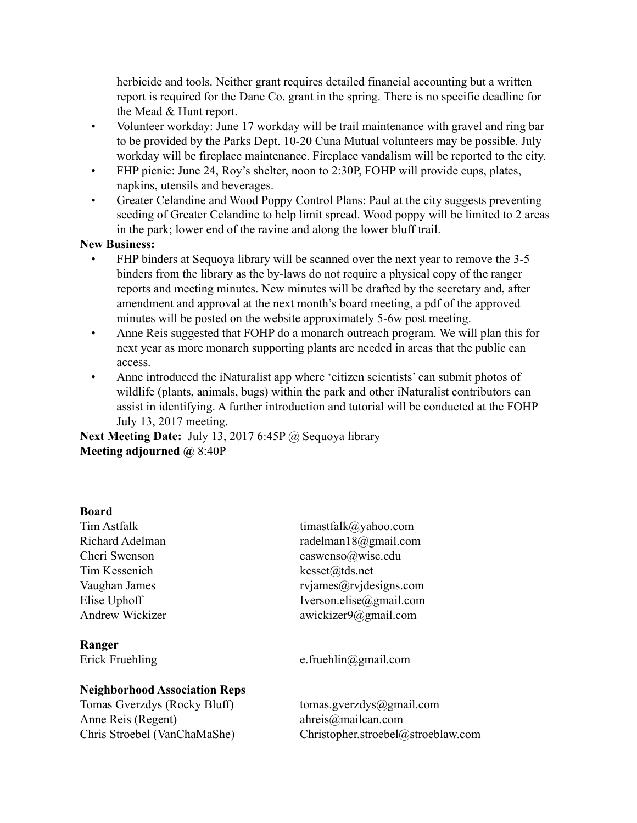herbicide and tools. Neither grant requires detailed financial accounting but a written report is required for the Dane Co. grant in the spring. There is no specific deadline for the Mead & Hunt report.

- Volunteer workday: June 17 workday will be trail maintenance with gravel and ring bar to be provided by the Parks Dept. 10-20 Cuna Mutual volunteers may be possible. July workday will be fireplace maintenance. Fireplace vandalism will be reported to the city.
- FHP picnic: June 24, Roy's shelter, noon to 2:30P, FOHP will provide cups, plates, napkins, utensils and beverages.
- Greater Celandine and Wood Poppy Control Plans: Paul at the city suggests preventing seeding of Greater Celandine to help limit spread. Wood poppy will be limited to 2 areas in the park; lower end of the ravine and along the lower bluff trail.

### **New Business:**

- FHP binders at Sequoya library will be scanned over the next year to remove the 3-5 binders from the library as the by-laws do not require a physical copy of the ranger reports and meeting minutes. New minutes will be drafted by the secretary and, after amendment and approval at the next month's board meeting, a pdf of the approved minutes will be posted on the website approximately 5-6w post meeting.
- Anne Reis suggested that FOHP do a monarch outreach program. We will plan this for next year as more monarch supporting plants are needed in areas that the public can access.
- Anne introduced the iNaturalist app where 'citizen scientists' can submit photos of wildlife (plants, animals, bugs) within the park and other iNaturalist contributors can assist in identifying. A further introduction and tutorial will be conducted at the FOHP July 13, 2017 meeting.

**Next Meeting Date:** July 13, 2017 6:45P @ Sequoya library **Meeting adjourned @** 8:40P

#### **Board**

Tim Kessenich kesset@tds.net

**Ranger**

## **Neighborhood Association Reps**

Tomas Gverzdys (Rocky Bluff) tomas.gverzdys@gmail.com Anne Reis (Regent) ahreis@mailcan.com

Tim Astfalk timastfalk@yahoo.com Richard Adelman radelman18@gmail.com Cheri Swenson caswenso@wisc.edu Vaughan James rviames rviames *arro* research research research research research research research research research research research research research research research research research research research research resea Elise Uphoff Iverson.elise@gmail.com Andrew Wickizer awickizer awickizer awickizer awickizer awickizer awickizer awickizer awickizer awickizer awickizer awickizer awickizer awickizer awickizer awickizer awickizer awickizer awickizer awickizer awickizer awicki

Erick Fruehling e.fruehlin@gmail.com

Chris Stroebel (VanChaMaShe) Christopher.stroebel@stroeblaw.com